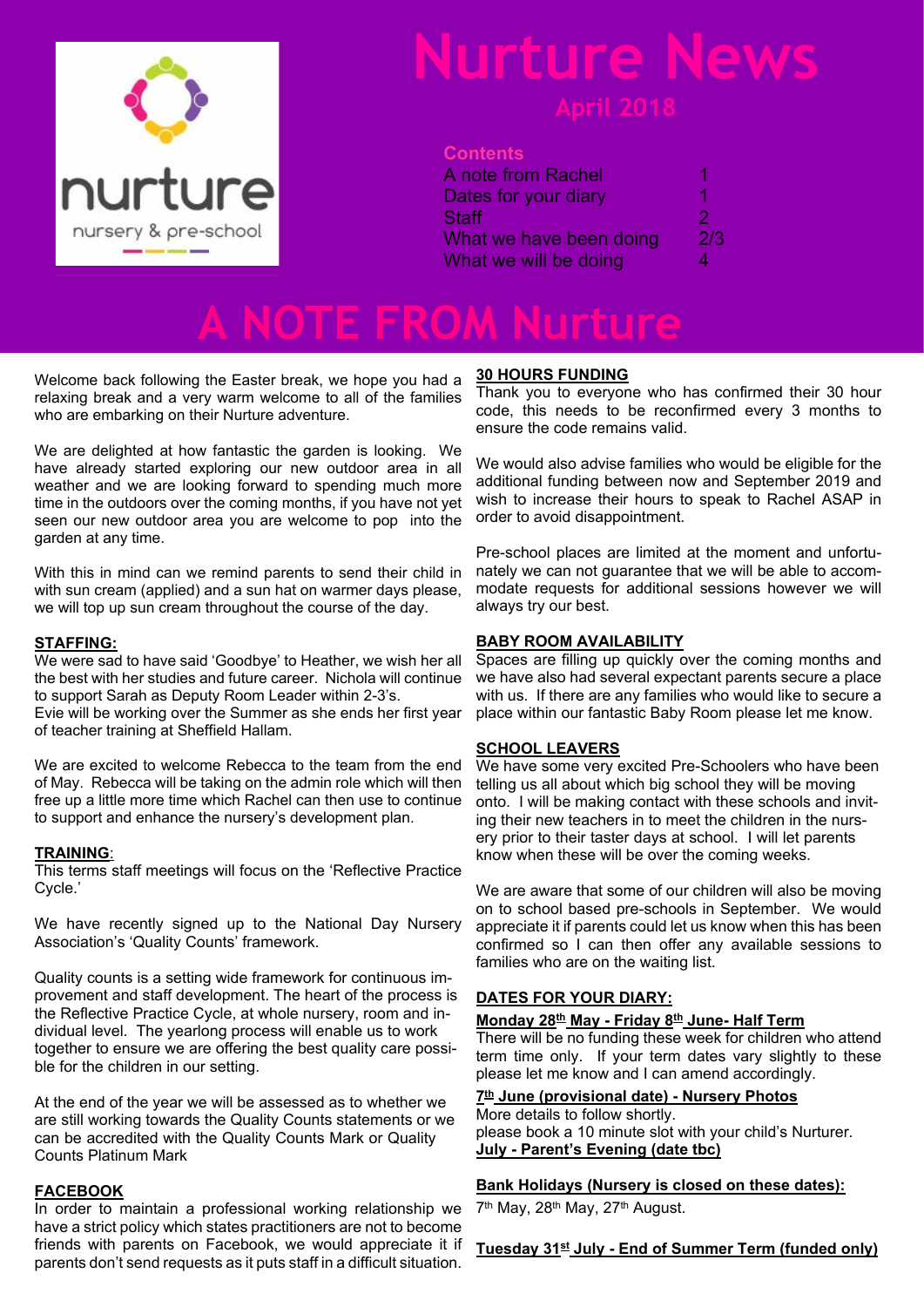

## urture **I**

#### **Contents**

| A note from Rachel      |     |
|-------------------------|-----|
| Dates for your diary    | T.  |
| Staff                   | 2   |
| What we have been doing | 2/3 |
| What we will be doing   | 4   |

**A NOTE FROM Nurture**

Welcome back following the Easter break, we hope you had a relaxing break and a very warm welcome to all of the families who are embarking on their Nurture adventure.

We are delighted at how fantastic the garden is looking. We have already started exploring our new outdoor area in all weather and we are looking forward to spending much more time in the outdoors over the coming months, if you have not yet seen our new outdoor area you are welcome to pop into the garden at any time.

With this in mind can we remind parents to send their child in with sun cream (applied) and a sun hat on warmer days please. we will top up sun cream throughout the course of the day.

#### **STAFFING:**

We were sad to have said 'Goodbye' to Heather, we wish her all the best with her studies and future career. Nichola will continue to support Sarah as Deputy Room Leader within 2-3's. Evie will be working over the Summer as she ends her first year of teacher training at Sheffield Hallam.

We are excited to welcome Rebecca to the team from the end of May. Rebecca will be taking on the admin role which will then free up a little more time which Rachel can then use to continue to support and enhance the nursery's development plan.

#### **TRAINING**:

This terms staff meetings will focus on the 'Reflective Practice Cycle.'

We have recently signed up to the National Day Nursery Association's 'Quality Counts' framework.

Quality counts is a setting wide framework for continuous improvement and staff development. The heart of the process is the Reflective Practice Cycle, at whole nursery, room and individual level. The yearlong process will enable us to work together to ensure we are offering the best quality care possible for the children in our setting.

At the end of the year we will be assessed as to whether we are still working towards the Quality Counts statements or we can be accredited with the Quality Counts Mark or Quality Counts Platinum Mark

#### **FACEBOOK**

In order to maintain a professional working relationship we have a strict policy which states practitioners are not to become friends with parents on Facebook, we would appreciate it if parents don't send requests as it puts staff in a difficult situation.

#### **30 HOURS FUNDING**

Thank you to everyone who has confirmed their 30 hour code, this needs to be reconfirmed every 3 months to ensure the code remains valid.

We would also advise families who would be eligible for the additional funding between now and September 2019 and wish to increase their hours to speak to Rachel ASAP in order to avoid disappointment.

Pre-school places are limited at the moment and unfortunately we can not guarantee that we will be able to accommodate requests for additional sessions however we will always try our best.

#### **BABY ROOM AVAILABILITY**

Spaces are filling up quickly over the coming months and we have also had several expectant parents secure a place with us. If there are any families who would like to secure a place within our fantastic Baby Room please let me know.

#### **SCHOOL LEAVERS**

We have some very excited Pre-Schoolers who have been telling us all about which big school they will be moving onto. I will be making contact with these schools and inviting their new teachers in to meet the children in the nursery prior to their taster days at school. I will let parents know when these will be over the coming weeks.

We are aware that some of our children will also be moving on to school based pre-schools in September. We would appreciate it if parents could let us know when this has been confirmed so I can then offer any available sessions to families who are on the waiting list.

#### **DATES FOR YOUR DIARY:**

#### **Monday 28th May - Friday 8th June- Half Term**

There will be no funding these week for children who attend term time only. If your term dates vary slightly to these please let me know and I can amend accordingly.

#### **7 th June (provisional date) - Nursery Photos**

More details to follow shortly. please book a 10 minute slot with your child's Nurturer. **July - Parent's Evening (date tbc)**

#### **Bank Holidays (Nursery is closed on these dates):**

7<sup>th</sup> May, 28<sup>th</sup> May, 27<sup>th</sup> August.

### **Tuesday 31st July - End of Summer Term (funded only)**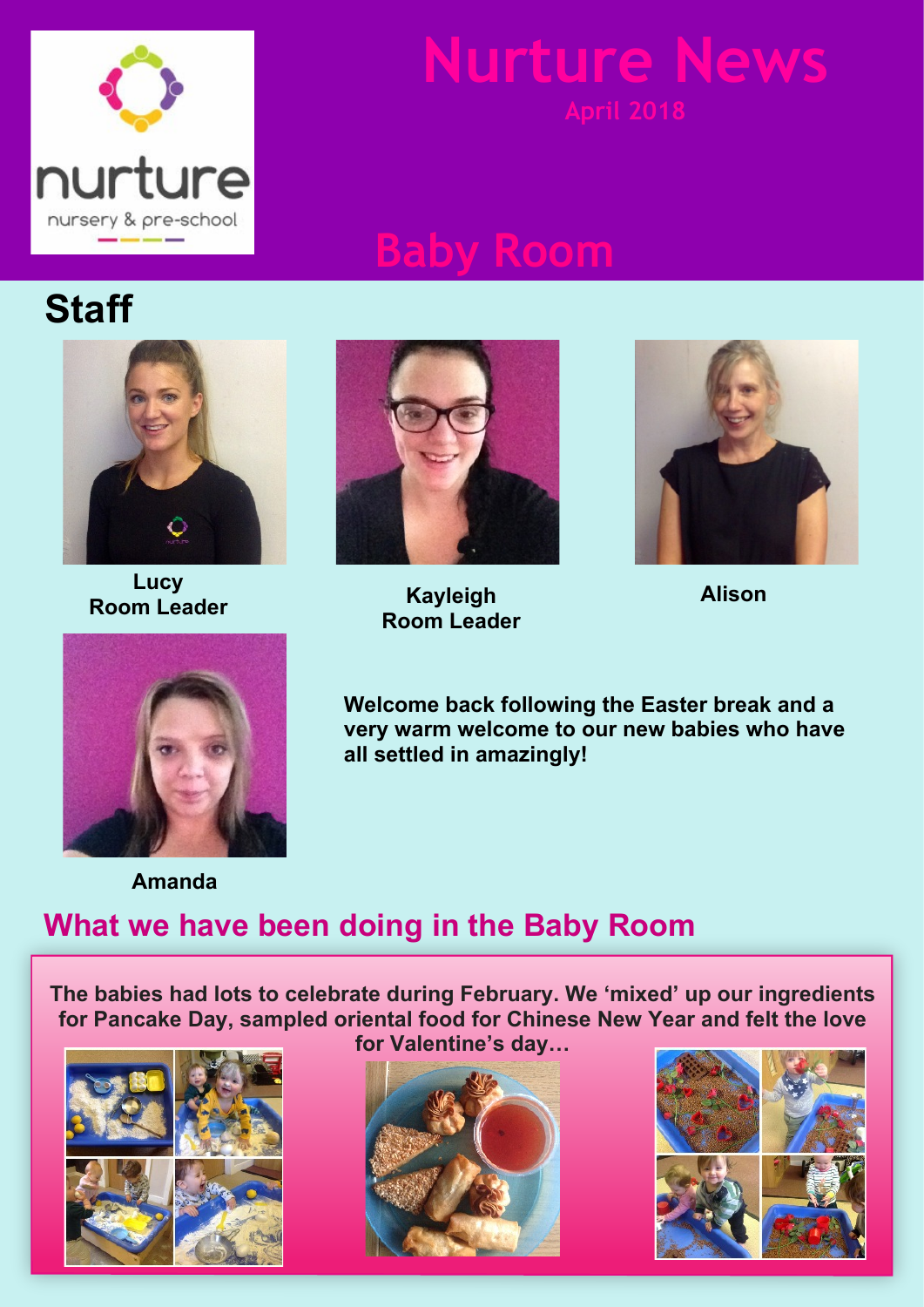

# **Nurture New**

## **Baby Room**

## **Staff**



**Lucy Room Leader Alison**



**Kayleigh Room Leader**





**Welcome back following the Easter break and a very warm welcome to our new babies who have all settled in amazingly!**

**Amanda**

### **What we have been doing in the Baby Room**

**The babies had lots to celebrate during February. We 'mixed' up our ingredients for Pancake Day, sampled oriental food for Chinese New Year and felt the love**







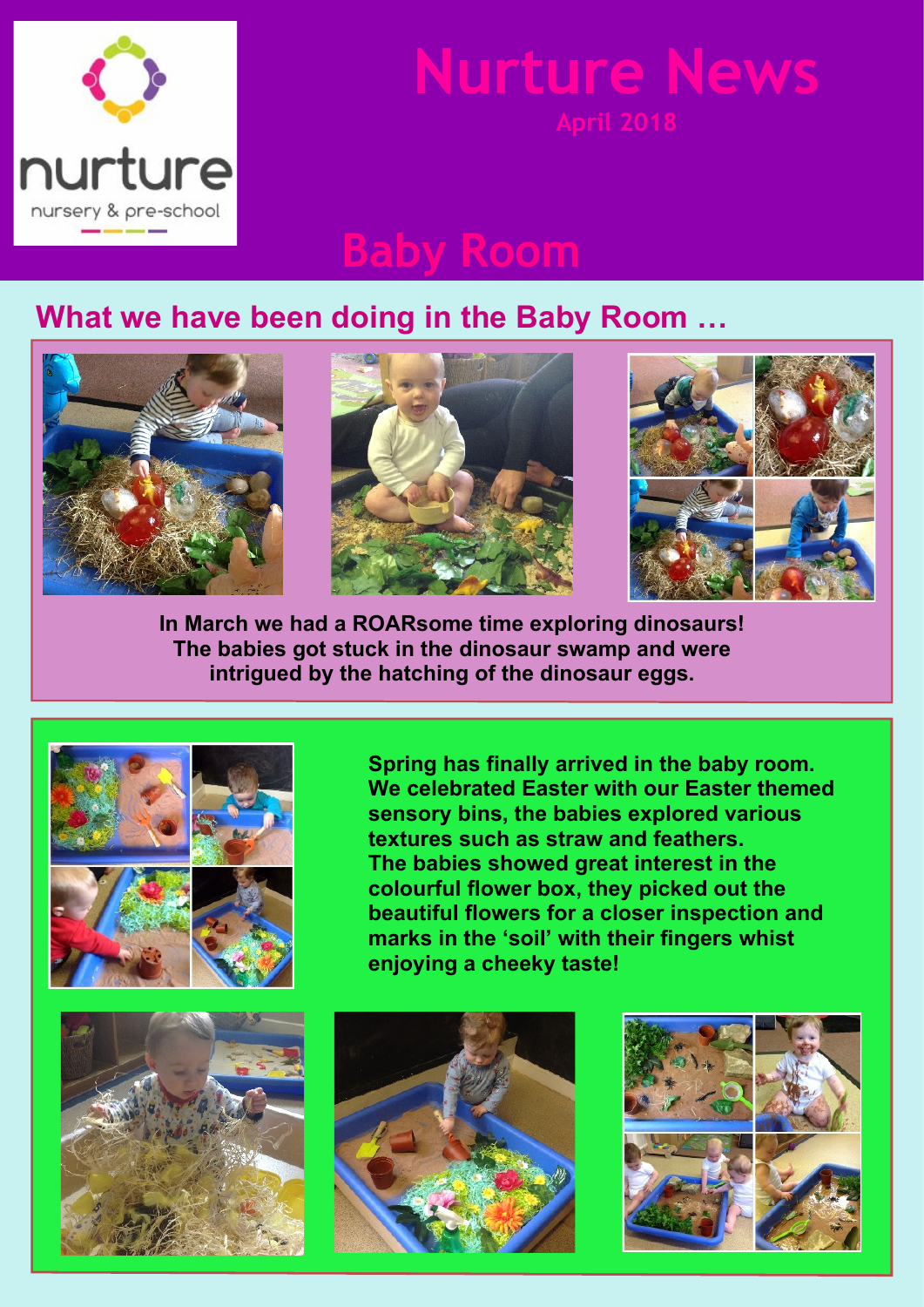

## **Nurture News**

## **Baby Room**

### **What we have been doing in the Baby Room …**



**In March we had a ROARsome time exploring dinosaurs! The babies got stuck in the dinosaur swamp and were intrigued by the hatching of the dinosaur eggs.**